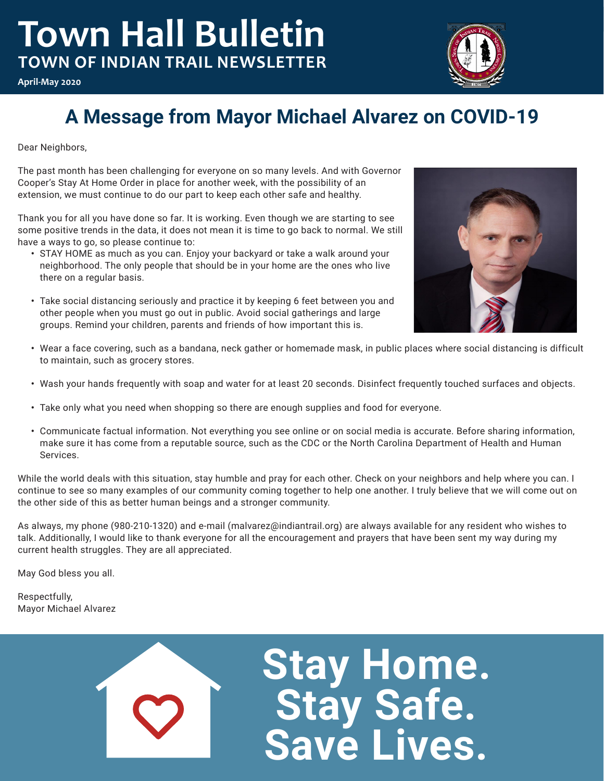# **Town Hall Bulletin TOWN OF INDIAN TRAIL NEWSLETTER**



**April-May 2020**

# **A Message from Mayor Michael Alvarez on COVID-19**

Dear Neighbors,

The past month has been challenging for everyone on so many levels. And with Governor Cooper's Stay At Home Order in place for another week, with the possibility of an extension, we must continue to do our part to keep each other safe and healthy.

Thank you for all you have done so far. It is working. Even though we are starting to see some positive trends in the data, it does not mean it is time to go back to normal. We still have a ways to go, so please continue to:

- **•**  STAY HOME as much as you can. Enjoy your backyard or take a walk around your neighborhood. The only people that should be in your home are the ones who live there on a regular basis.
- **•**  Take social distancing seriously and practice it by keeping 6 feet between you and other people when you must go out in public. Avoid social gatherings and large groups. Remind your children, parents and friends of how important this is.



- **•**  Wear a face covering, such as a bandana, neck gather or homemade mask, in public places where social distancing is difficult to maintain, such as grocery stores.
- **•**  Wash your hands frequently with soap and water for at least 20 seconds. Disinfect frequently touched surfaces and objects.
- **•**  Take only what you need when shopping so there are enough supplies and food for everyone.
- **•**  Communicate factual information. Not everything you see online or on social media is accurate. Before sharing information, make sure it has come from a reputable source, such as the CDC or the North Carolina Department of Health and Human Services.

While the world deals with this situation, stay humble and pray for each other. Check on your neighbors and help where you can. I continue to see so many examples of our community coming together to help one another. I truly believe that we will come out on the other side of this as better human beings and a stronger community.

As always, my phone (980-210-1320) and e-mail (malvarez@indiantrail.org) are always available for any resident who wishes to talk. Additionally, I would like to thank everyone for all the encouragement and prayers that have been sent my way during my current health struggles. They are all appreciated.

May God bless you all.

Respectfully, Mayor Michael Alvarez



**Stay Home. Stay Safe. Save Lives.**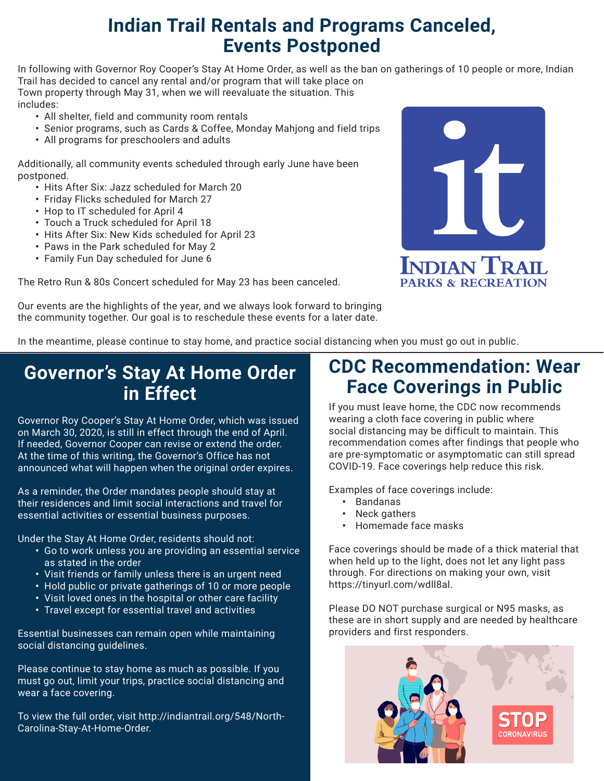#### **Indian Trail Rentals and Programs Canceled, Events Postponed**

In following with Governor Roy Cooper's Stay At Home Order, as well as the ban on gatherings of 10 people or more, Indian Trail has decided to cancel any rental and/or program that will take place on Town property through May 31, when we will reevaluate the situation. This includes:

- **•**  All shelter, field and community room rentals
- **•**  Senior programs, such as Cards & Coffee, Monday Mahjong and field trips
- **•**  All programs for preschoolers and adults

Additionally, all community events scheduled through early June have been postponed.

- **•**  Hits After Six: Jazz scheduled for March 20
- **•**  Friday Flicks scheduled for March 27
- **•**  Hop to IT scheduled for April 4
- **•**  Touch a Truck scheduled for April 18
- **•**  Hits After Six: New Kids scheduled for April 23
- **•**  Paws in the Park scheduled for May 2
- **•**  Family Fun Day scheduled for June 6

The Retro Run & 80s Concert scheduled for May 23 has been canceled.



Our events are the highlights of the year, and we always look forward to bringing the community together. Our goal is to reschedule these events for a later date.

In the meantime, please continue to stay home, and practice social distancing when you must go out in public.

#### **Governor's Stay At Home Order in Effect**

Governor Roy Cooper's Stay At Home Order, which was issued on March 30, 2020, is still in effect through the end of April. If needed, Governor Cooper can revise or extend the order. At the time of this writing, the Governor's Office has not announced what will happen when the original order expires.

As a reminder, the Order mandates people should stay at their residences and limit social interactions and travel for essential activities or essential business purposes.

Under the Stay At Home Order, residents should not:

- **•**  Go to work unless you are providing an essential service as stated in the order
- **•**  Visit friends or family unless there is an urgent need
- **•**  Hold public or private gatherings of 10 or more people
- **•**  Visit loved ones in the hospital or other care facility
- **•**  Travel except for essential travel and activities

Essential businesses can remain open while maintaining social distancing guidelines.

Please continue to stay home as much as possible. If you must go out, limit your trips, practice social distancing and wear a face covering.

To view the full order, visit http://indiantrail.org/548/North-Carolina-Stay-At-Home-Order.

#### **CDC Recommendation: Wear Face Coverings in Public**

If you must leave home, the CDC now recommends wearing a cloth face covering in public where social distancing may be difficult to maintain. This recommendation comes after findings that people who are pre-symptomatic or asymptomatic can still spread COVID-19. Face coverings help reduce this risk.

Examples of face coverings include:

- **•**  Bandanas
- **•**  Neck gathers
- **•**  Homemade face masks

Face coverings should be made of a thick material that when held up to the light, does not let any light pass through. For directions on making your own, visit https://tinyurl.com/wdll8al.

Please DO NOT purchase surgical or N95 masks, as these are in short supply and are needed by healthcare providers and first responders.

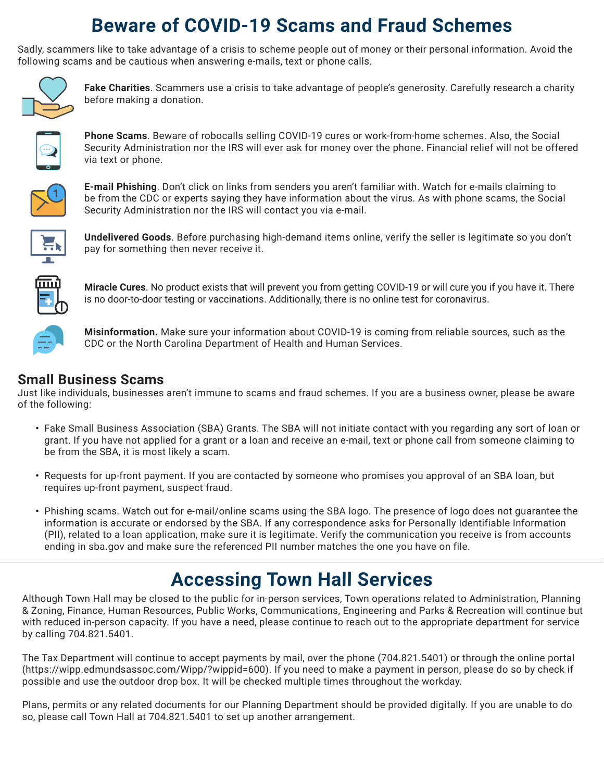#### **Beware of COVID-19 Scams and Fraud Schemes**

Sadly, scammers like to take advantage of a crisis to scheme people out of money or their personal information. Avoid the following scams and be cautious when answering e-mails, text or phone calls.



**Fake Charities**. Scammers use a crisis to take advantage of people's generosity. Carefully research a charity before making a donation.

**Phone Scams**. Beware of robocalls selling COVID-19 cures or work-from-home schemes. Also, the Social Security Administration nor the IRS will ever ask for money over the phone. Financial relief will not be offered via text or phone.



**E-mail Phishing**. Don't click on links from senders you aren't familiar with. Watch for e-mails claiming to be from the CDC or experts saying they have information about the virus. As with phone scams, the Social Security Administration nor the IRS will contact you via e-mail.



**Undelivered Goods**. Before purchasing high-demand items online, verify the seller is legitimate so you don't pay for something then never receive it.



**Miracle Cures**. No product exists that will prevent you from getting COVID-19 or will cure you if you have it. There is no door-to-door testing or vaccinations. Additionally, there is no online test for coronavirus.



**Misinformation.** Make sure your information about COVID-19 is coming from reliable sources, such as the CDC or the North Carolina Department of Health and Human Services.

#### **Small Business Scams**

Just like individuals, businesses aren't immune to scams and fraud schemes. If you are a business owner, please be aware of the following:

- **•**  Fake Small Business Association (SBA) Grants. The SBA will not initiate contact with you regarding any sort of loan or grant. If you have not applied for a grant or a loan and receive an e-mail, text or phone call from someone claiming to be from the SBA, it is most likely a scam.
- **•**  Requests for up-front payment. If you are contacted by someone who promises you approval of an SBA loan, but requires up-front payment, suspect fraud.
- **•**  Phishing scams. Watch out for e-mail/online scams using the SBA logo. The presence of logo does not guarantee the information is accurate or endorsed by the SBA. If any correspondence asks for Personally Identifiable Information (PII), related to a loan application, make sure it is legitimate. Verify the communication you receive is from accounts ending in sba.gov and make sure the referenced PII number matches the one you have on file.

#### **Accessing Town Hall Services**

Although Town Hall may be closed to the public for in-person services, Town operations related to Administration, Planning & Zoning, Finance, Human Resources, Public Works, Communications, Engineering and Parks & Recreation will continue but with reduced in-person capacity. If you have a need, please continue to reach out to the appropriate department for service by calling 704.821.5401.

The Tax Department will continue to accept payments by mail, over the phone (704.821.5401) or through the online portal (https://wipp.edmundsassoc.com/Wipp/?wippid=600). If you need to make a payment in person, please do so by check if possible and use the outdoor drop box. It will be checked multiple times throughout the workday.

Plans, permits or any related documents for our Planning Department should be provided digitally. If you are unable to do so, please call Town Hall at 704.821.5401 to set up another arrangement.